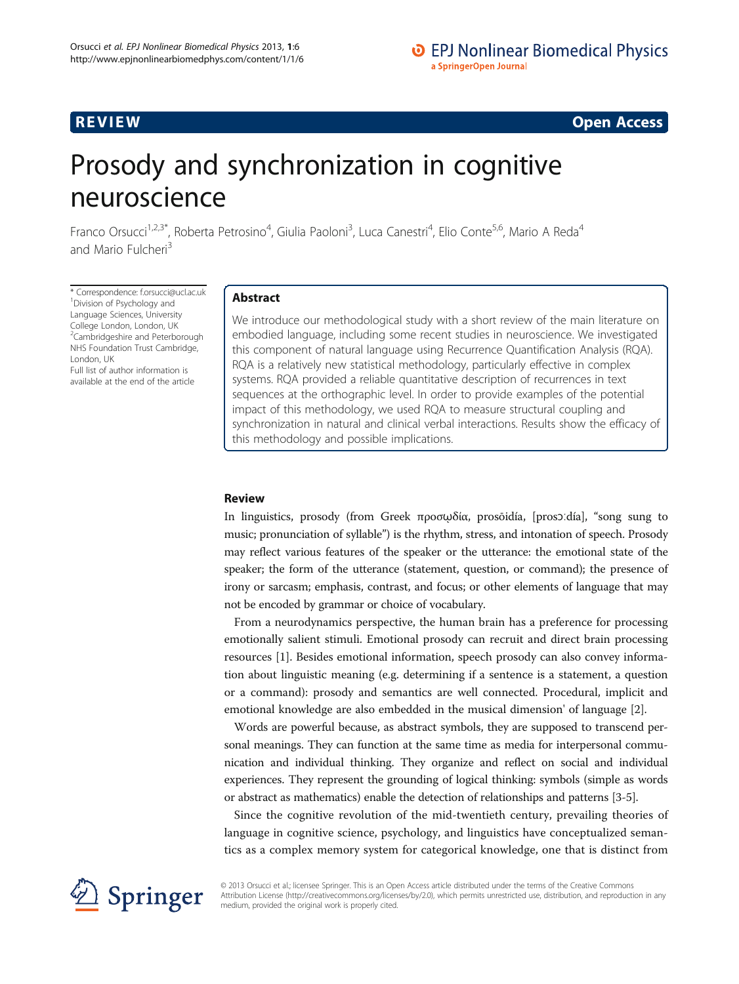# **• EPJ Nonlinear Biomedical Physics** a SpringerOpen Journal

# R EVI EW OPEN ACCESS OF THE EW OPEN ACCESS OF THE EWO ARE ALL THE EWO ARE ALL THE EWO ARE ALL THE EWO ARE ALL <br>References

# Prosody and synchronization in cognitive neuroscience

Franco Orsucci<sup>1,2,3\*</sup>, Roberta Petrosino<sup>4</sup>, Giulia Paoloni<sup>3</sup>, Luca Canestri<sup>4</sup>, Elio Conte<sup>5,6</sup>, Mario A Reda<sup>4</sup> and Mario Fulcheri<sup>3</sup>

\* Correspondence: [f.orsucci@ucl.ac.uk](mailto:f.orsucci@ucl.ac.uk) <sup>1</sup> <sup>1</sup> Division of Psychology and Language Sciences, University College London, London, UK <sup>2</sup>Cambridgeshire and Peterborough NHS Foundation Trust Cambridge, London, UK

Full list of author information is available at the end of the article

## **Abstract**

We introduce our methodological study with a short review of the main literature on embodied language, including some recent studies in neuroscience. We investigated this component of natural language using Recurrence Quantification Analysis (RQA). RQA is a relatively new statistical methodology, particularly effective in complex systems. RQA provided a reliable quantitative description of recurrences in text sequences at the orthographic level. In order to provide examples of the potential impact of this methodology, we used RQA to measure structural coupling and synchronization in natural and clinical verbal interactions. Results show the efficacy of this methodology and possible implications.

## **Review**

Review In linguistics, prosody (from Greek προσῳδία, prosōidía, [prosɔːdía], "song sung to music; pronunciation of syllable") is the rhythm, stress, and intonation of speech. Prosody may reflect various features of the speaker or the utterance: the emotional state of the speaker; the form of the utterance (statement, question, or command); the presence of irony or sarcasm; emphasis, contrast, and focus; or other elements of language that may not be encoded by grammar or choice of vocabulary.

From a neurodynamics perspective, the human brain has a preference for processing emotionally salient stimuli. Emotional prosody can recruit and direct brain processing resources [\[1](#page-9-0)]. Besides emotional information, speech prosody can also convey information about linguistic meaning (e.g. determining if a sentence is a statement, a question or a command): prosody and semantics are well connected. Procedural, implicit and emotional knowledge are also embedded in the musical dimension' of language [\[2](#page-9-0)].

Words are powerful because, as abstract symbols, they are supposed to transcend personal meanings. They can function at the same time as media for interpersonal communication and individual thinking. They organize and reflect on social and individual experiences. They represent the grounding of logical thinking: symbols (simple as words or abstract as mathematics) enable the detection of relationships and patterns [\[3](#page-9-0)-[5](#page-9-0)].

Since the cognitive revolution of the mid-twentieth century, prevailing theories of language in cognitive science, psychology, and linguistics have conceptualized semantics as a complex memory system for categorical knowledge, one that is distinct from



© 2013 Orsucci et al.; licensee Springer. This is an Open Access article distributed under the terms of the Creative Commons Attribution License [\(http://creativecommons.org/licenses/by/2.0\)](http://creativecommons.org/licenses/by/2.0), which permits unrestricted use, distribution, and reproduction in any medium, provided the original work is properly cited.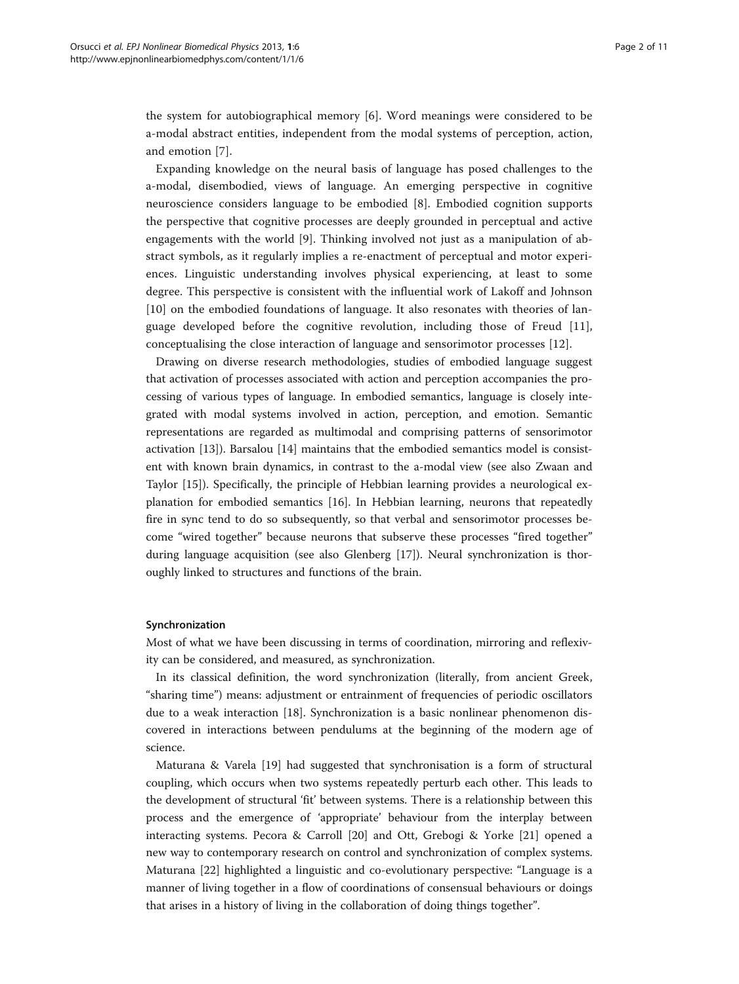the system for autobiographical memory [\[6](#page-9-0)]. Word meanings were considered to be a-modal abstract entities, independent from the modal systems of perception, action, and emotion [[7\]](#page-9-0).

Expanding knowledge on the neural basis of language has posed challenges to the a-modal, disembodied, views of language. An emerging perspective in cognitive neuroscience considers language to be embodied [[8\]](#page-9-0). Embodied cognition supports the perspective that cognitive processes are deeply grounded in perceptual and active engagements with the world [\[9](#page-9-0)]. Thinking involved not just as a manipulation of abstract symbols, as it regularly implies a re-enactment of perceptual and motor experiences. Linguistic understanding involves physical experiencing, at least to some degree. This perspective is consistent with the influential work of Lakoff and Johnson [[10\]](#page-9-0) on the embodied foundations of language. It also resonates with theories of language developed before the cognitive revolution, including those of Freud [\[11](#page-9-0)], conceptualising the close interaction of language and sensorimotor processes [[12\]](#page-9-0).

Drawing on diverse research methodologies, studies of embodied language suggest that activation of processes associated with action and perception accompanies the processing of various types of language. In embodied semantics, language is closely integrated with modal systems involved in action, perception, and emotion. Semantic representations are regarded as multimodal and comprising patterns of sensorimotor activation [[13](#page-9-0)]). Barsalou [[14\]](#page-9-0) maintains that the embodied semantics model is consistent with known brain dynamics, in contrast to the a-modal view (see also Zwaan and Taylor [\[15\]](#page-9-0)). Specifically, the principle of Hebbian learning provides a neurological explanation for embodied semantics [[16\]](#page-9-0). In Hebbian learning, neurons that repeatedly fire in sync tend to do so subsequently, so that verbal and sensorimotor processes become "wired together" because neurons that subserve these processes "fired together" during language acquisition (see also Glenberg [[17](#page-9-0)]). Neural synchronization is thoroughly linked to structures and functions of the brain.

#### Synchronization

Most of what we have been discussing in terms of coordination, mirroring and reflexivity can be considered, and measured, as synchronization.

In its classical definition, the word synchronization (literally, from ancient Greek, "sharing time") means: adjustment or entrainment of frequencies of periodic oscillators due to a weak interaction [\[18](#page-9-0)]. Synchronization is a basic nonlinear phenomenon discovered in interactions between pendulums at the beginning of the modern age of science.

Maturana & Varela [[19\]](#page-9-0) had suggested that synchronisation is a form of structural coupling, which occurs when two systems repeatedly perturb each other. This leads to the development of structural 'fit' between systems. There is a relationship between this process and the emergence of 'appropriate' behaviour from the interplay between interacting systems. Pecora & Carroll [[20](#page-9-0)] and Ott, Grebogi & Yorke [[21](#page-9-0)] opened a new way to contemporary research on control and synchronization of complex systems. Maturana [\[22](#page-9-0)] highlighted a linguistic and co-evolutionary perspective: "Language is a manner of living together in a flow of coordinations of consensual behaviours or doings that arises in a history of living in the collaboration of doing things together".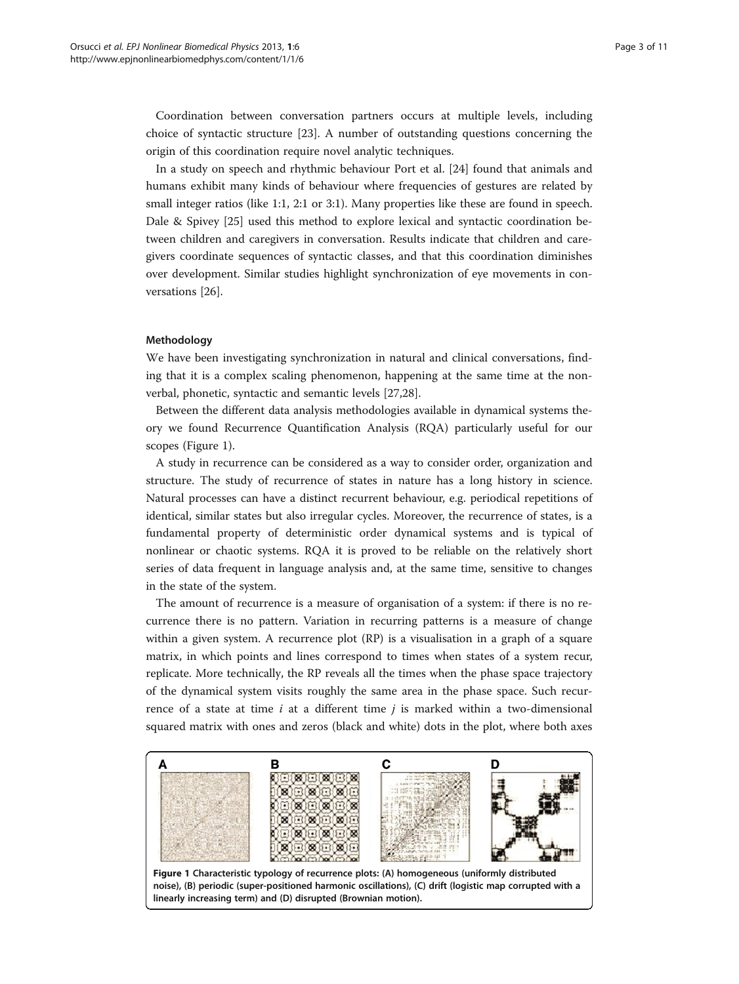Coordination between conversation partners occurs at multiple levels, including choice of syntactic structure [[23\]](#page-9-0). A number of outstanding questions concerning the origin of this coordination require novel analytic techniques.

In a study on speech and rhythmic behaviour Port et al. [\[24\]](#page-9-0) found that animals and humans exhibit many kinds of behaviour where frequencies of gestures are related by small integer ratios (like 1:1, 2:1 or 3:1). Many properties like these are found in speech. Dale & Spivey [\[25](#page-9-0)] used this method to explore lexical and syntactic coordination between children and caregivers in conversation. Results indicate that children and caregivers coordinate sequences of syntactic classes, and that this coordination diminishes over development. Similar studies highlight synchronization of eye movements in conversations [[26](#page-9-0)].

### **Methodology**

We have been investigating synchronization in natural and clinical conversations, finding that it is a complex scaling phenomenon, happening at the same time at the nonverbal, phonetic, syntactic and semantic levels [\[27,28](#page-9-0)].

Between the different data analysis methodologies available in dynamical systems theory we found Recurrence Quantification Analysis (RQA) particularly useful for our scopes (Figure 1).

A study in recurrence can be considered as a way to consider order, organization and structure. The study of recurrence of states in nature has a long history in science. Natural processes can have a distinct recurrent behaviour, e.g. periodical repetitions of identical, similar states but also irregular cycles. Moreover, the recurrence of states, is a fundamental property of deterministic order dynamical systems and is typical of nonlinear or chaotic systems. RQA it is proved to be reliable on the relatively short series of data frequent in language analysis and, at the same time, sensitive to changes in the state of the system.

The amount of recurrence is a measure of organisation of a system: if there is no recurrence there is no pattern. Variation in recurring patterns is a measure of change within a given system. A recurrence plot (RP) is a visualisation in a graph of a square matrix, in which points and lines correspond to times when states of a system recur, replicate. More technically, the RP reveals all the times when the phase space trajectory of the dynamical system visits roughly the same area in the phase space. Such recurrence of a state at time  $i$  at a different time  $j$  is marked within a two-dimensional squared matrix with ones and zeros (black and white) dots in the plot, where both axes

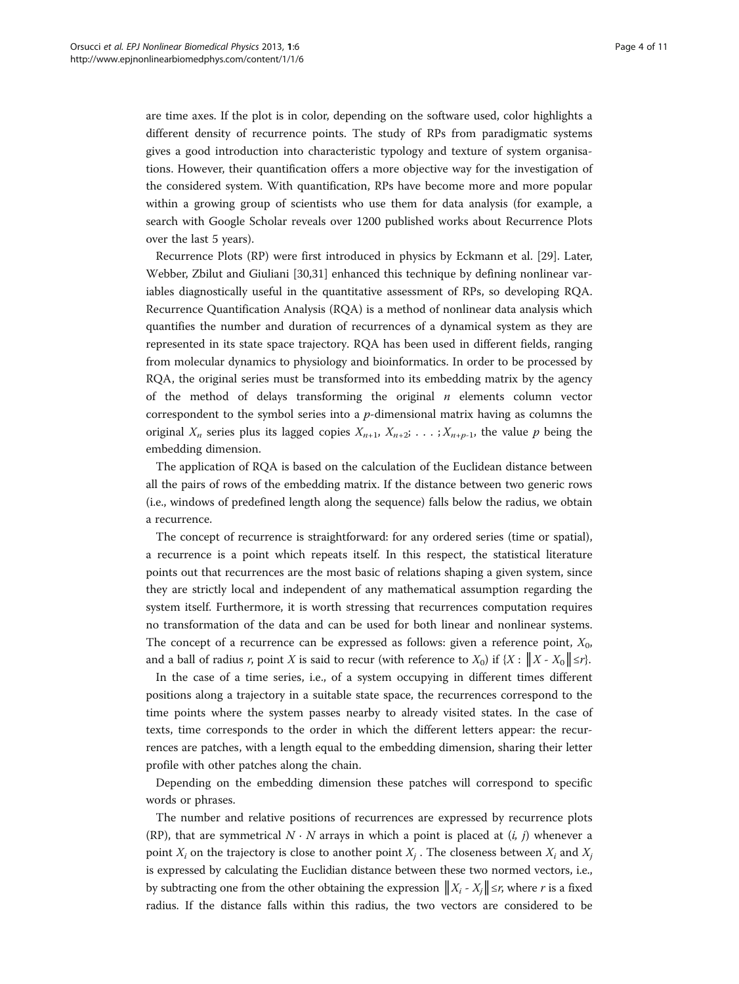are time axes. If the plot is in color, depending on the software used, color highlights a different density of recurrence points. The study of RPs from paradigmatic systems gives a good introduction into characteristic typology and texture of system organisations. However, their quantification offers a more objective way for the investigation of the considered system. With quantification, RPs have become more and more popular within a growing group of scientists who use them for data analysis (for example, a search with Google Scholar reveals over 1200 published works about Recurrence Plots over the last 5 years).

Recurrence Plots (RP) were first introduced in physics by Eckmann et al. [\[29](#page-9-0)]. Later, Webber, Zbilut and Giuliani [\[30,31](#page-9-0)] enhanced this technique by defining nonlinear variables diagnostically useful in the quantitative assessment of RPs, so developing RQA. Recurrence Quantification Analysis (RQA) is a method of nonlinear data analysis which quantifies the number and duration of recurrences of a dynamical system as they are represented in its state space trajectory. RQA has been used in different fields, ranging from molecular dynamics to physiology and bioinformatics. In order to be processed by RQA, the original series must be transformed into its embedding matrix by the agency of the method of delays transforming the original  $n$  elements column vector correspondent to the symbol series into a  $p$ -dimensional matrix having as columns the original  $X_n$  series plus its lagged copies  $X_{n+1}$ ,  $X_{n+2}$ ; ...;  $X_{n+p-1}$ , the value p being the embedding dimension.

The application of RQA is based on the calculation of the Euclidean distance between all the pairs of rows of the embedding matrix. If the distance between two generic rows (i.e., windows of predefined length along the sequence) falls below the radius, we obtain a recurrence.

The concept of recurrence is straightforward: for any ordered series (time or spatial), a recurrence is a point which repeats itself. In this respect, the statistical literature points out that recurrences are the most basic of relations shaping a given system, since they are strictly local and independent of any mathematical assumption regarding the system itself. Furthermore, it is worth stressing that recurrences computation requires no transformation of the data and can be used for both linear and nonlinear systems. The concept of a recurrence can be expressed as follows: given a reference point,  $X_0$ , and a ball of radius r, point X is said to recur (with reference to  $X_0$ ) if  $\{X: ||X - X_0|| \leq r\}$ .

In the case of a time series, i.e., of a system occupying in different times different positions along a trajectory in a suitable state space, the recurrences correspond to the time points where the system passes nearby to already visited states. In the case of texts, time corresponds to the order in which the different letters appear: the recurrences are patches, with a length equal to the embedding dimension, sharing their letter profile with other patches along the chain.

Depending on the embedding dimension these patches will correspond to specific words or phrases.

The number and relative positions of recurrences are expressed by recurrence plots (RP), that are symmetrical  $N \cdot N$  arrays in which a point is placed at  $(i, j)$  whenever a point  $X_i$  on the trajectory is close to another point  $X_i$ . The closeness between  $X_i$  and  $X_i$ is expressed by calculating the Euclidian distance between these two normed vectors, i.e., by subtracting one from the other obtaining the expression  $||X_i - X_i|| \leq r$ , where r is a fixed radius. If the distance falls within this radius, the two vectors are considered to be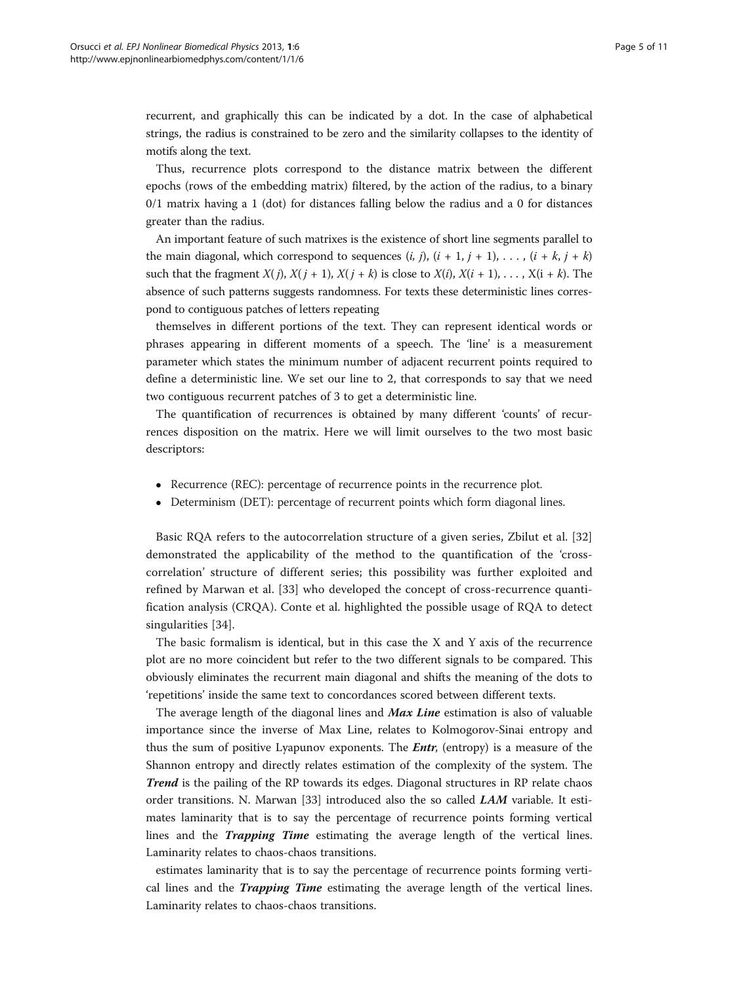recurrent, and graphically this can be indicated by a dot. In the case of alphabetical strings, the radius is constrained to be zero and the similarity collapses to the identity of motifs along the text.

Thus, recurrence plots correspond to the distance matrix between the different epochs (rows of the embedding matrix) filtered, by the action of the radius, to a binary 0/1 matrix having a 1 (dot) for distances falling below the radius and a 0 for distances greater than the radius.

An important feature of such matrixes is the existence of short line segments parallel to the main diagonal, which correspond to sequences  $(i, j)$ ,  $(i + 1, j + 1)$ , ...,  $(i + k, j + k)$ such that the fragment  $X(j)$ ,  $X(j + 1)$ ,  $X(j + k)$  is close to  $X(i)$ ,  $X(i + 1)$ , ...,  $X(i + k)$ . The absence of such patterns suggests randomness. For texts these deterministic lines correspond to contiguous patches of letters repeating

themselves in different portions of the text. They can represent identical words or phrases appearing in different moments of a speech. The 'line' is a measurement parameter which states the minimum number of adjacent recurrent points required to define a deterministic line. We set our line to 2, that corresponds to say that we need two contiguous recurrent patches of 3 to get a deterministic line.

The quantification of recurrences is obtained by many different 'counts' of recurrences disposition on the matrix. Here we will limit ourselves to the two most basic descriptors:

- Recurrence (REC): percentage of recurrence points in the recurrence plot.
- Determinism (DET): percentage of recurrent points which form diagonal lines.

Basic RQA refers to the autocorrelation structure of a given series, Zbilut et al. [\[32](#page-9-0)] demonstrated the applicability of the method to the quantification of the 'crosscorrelation' structure of different series; this possibility was further exploited and refined by Marwan et al. [[33\]](#page-9-0) who developed the concept of cross-recurrence quantification analysis (CRQA). Conte et al. highlighted the possible usage of RQA to detect singularities [[34\]](#page-9-0).

The basic formalism is identical, but in this case the X and Y axis of the recurrence plot are no more coincident but refer to the two different signals to be compared. This obviously eliminates the recurrent main diagonal and shifts the meaning of the dots to 'repetitions' inside the same text to concordances scored between different texts.

The average length of the diagonal lines and Max Line estimation is also of valuable importance since the inverse of Max Line, relates to Kolmogorov-Sinai entropy and thus the sum of positive Lyapunov exponents. The Entr, (entropy) is a measure of the Shannon entropy and directly relates estimation of the complexity of the system. The **Trend** is the pailing of the RP towards its edges. Diagonal structures in RP relate chaos order transitions. N. Marwan [\[33](#page-9-0)] introduced also the so called LAM variable. It estimates laminarity that is to say the percentage of recurrence points forming vertical lines and the *Trapping Time* estimating the average length of the vertical lines. Laminarity relates to chaos-chaos transitions.

estimates laminarity that is to say the percentage of recurrence points forming vertical lines and the *Trapping Time* estimating the average length of the vertical lines. Laminarity relates to chaos-chaos transitions.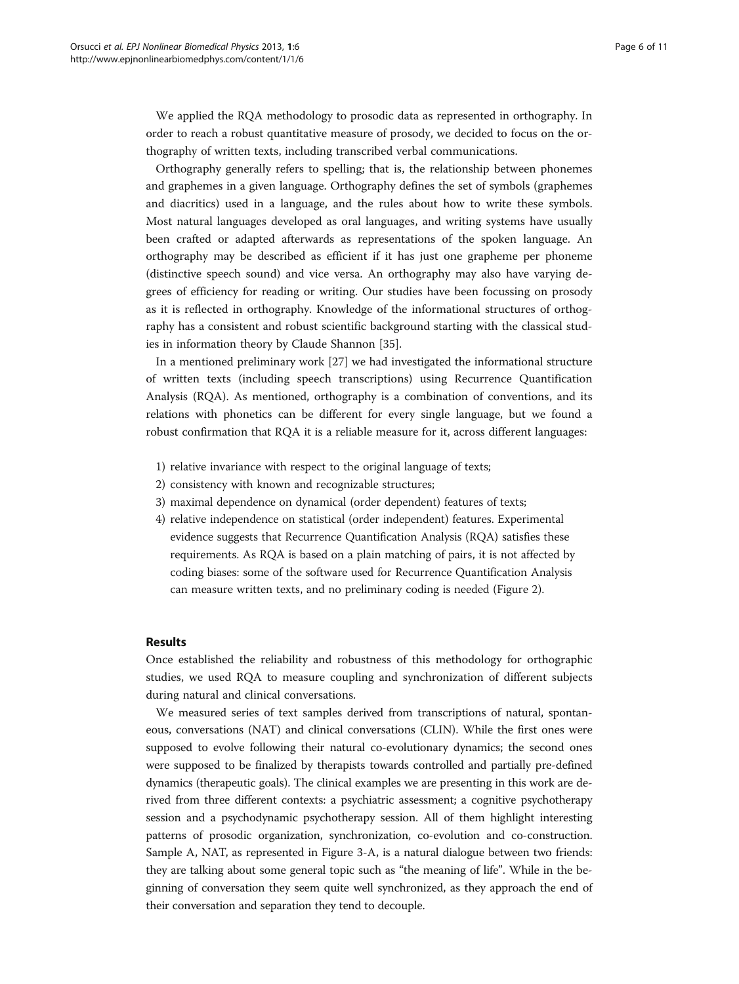We applied the RQA methodology to prosodic data as represented in orthography. In order to reach a robust quantitative measure of prosody, we decided to focus on the orthography of written texts, including transcribed verbal communications.

Orthography generally refers to spelling; that is, the relationship between phonemes and graphemes in a given language. Orthography defines the set of symbols (graphemes and diacritics) used in a language, and the rules about how to write these symbols. Most natural languages developed as oral languages, and writing systems have usually been crafted or adapted afterwards as representations of the spoken language. An orthography may be described as efficient if it has just one grapheme per phoneme (distinctive speech sound) and vice versa. An orthography may also have varying degrees of efficiency for reading or writing. Our studies have been focussing on prosody as it is reflected in orthography. Knowledge of the informational structures of orthography has a consistent and robust scientific background starting with the classical studies in information theory by Claude Shannon [[35\]](#page-9-0).

In a mentioned preliminary work [[27\]](#page-9-0) we had investigated the informational structure of written texts (including speech transcriptions) using Recurrence Quantification Analysis (RQA). As mentioned, orthography is a combination of conventions, and its relations with phonetics can be different for every single language, but we found a robust confirmation that RQA it is a reliable measure for it, across different languages:

- 1) relative invariance with respect to the original language of texts;
- 2) consistency with known and recognizable structures;
- 3) maximal dependence on dynamical (order dependent) features of texts;
- 4) relative independence on statistical (order independent) features. Experimental evidence suggests that Recurrence Quantification Analysis (RQA) satisfies these requirements. As RQA is based on a plain matching of pairs, it is not affected by coding biases: some of the software used for Recurrence Quantification Analysis can measure written texts, and no preliminary coding is needed (Figure [2\)](#page-6-0).

### **Results**

Once established the reliability and robustness of this methodology for orthographic studies, we used RQA to measure coupling and synchronization of different subjects during natural and clinical conversations.

We measured series of text samples derived from transcriptions of natural, spontaneous, conversations (NAT) and clinical conversations (CLIN). While the first ones were supposed to evolve following their natural co-evolutionary dynamics; the second ones were supposed to be finalized by therapists towards controlled and partially pre-defined dynamics (therapeutic goals). The clinical examples we are presenting in this work are derived from three different contexts: a psychiatric assessment; a cognitive psychotherapy session and a psychodynamic psychotherapy session. All of them highlight interesting patterns of prosodic organization, synchronization, co-evolution and co-construction. Sample A, NAT, as represented in Figure [3-](#page-6-0)A, is a natural dialogue between two friends: they are talking about some general topic such as "the meaning of life". While in the beginning of conversation they seem quite well synchronized, as they approach the end of their conversation and separation they tend to decouple.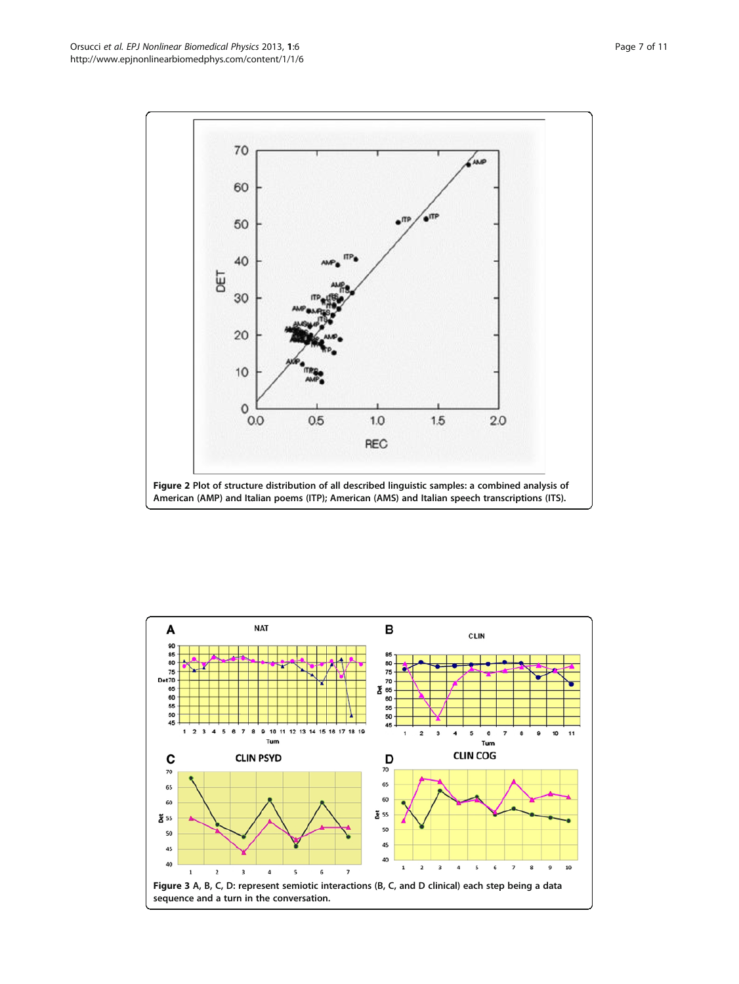<span id="page-6-0"></span>

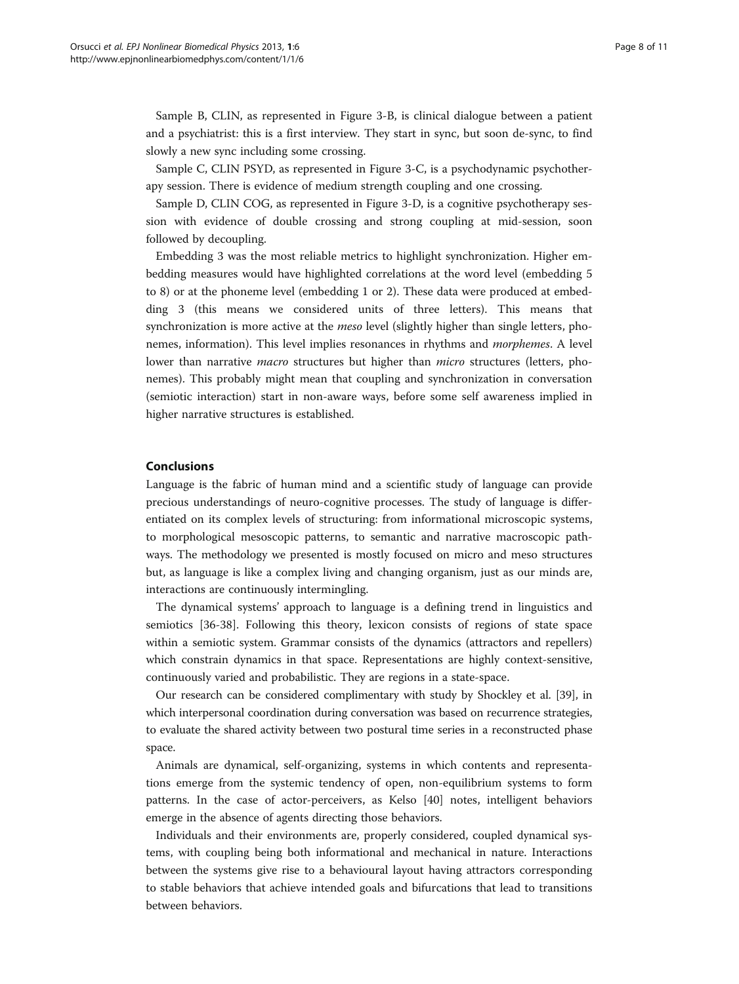Sample B, CLIN, as represented in Figure [3](#page-6-0)-B, is clinical dialogue between a patient and a psychiatrist: this is a first interview. They start in sync, but soon de-sync, to find slowly a new sync including some crossing.

Sample C, CLIN PSYD, as represented in Figure [3](#page-6-0)-C, is a psychodynamic psychotherapy session. There is evidence of medium strength coupling and one crossing.

Sample D, CLIN COG, as represented in Figure [3-](#page-6-0)D, is a cognitive psychotherapy session with evidence of double crossing and strong coupling at mid-session, soon followed by decoupling.

Embedding 3 was the most reliable metrics to highlight synchronization. Higher embedding measures would have highlighted correlations at the word level (embedding 5 to 8) or at the phoneme level (embedding 1 or 2). These data were produced at embedding 3 (this means we considered units of three letters). This means that synchronization is more active at the *meso* level (slightly higher than single letters, phonemes, information). This level implies resonances in rhythms and morphemes. A level lower than narrative *macro* structures but higher than *micro* structures (letters, phonemes). This probably might mean that coupling and synchronization in conversation (semiotic interaction) start in non-aware ways, before some self awareness implied in higher narrative structures is established.

**Language is the fabric of human mind and a scientific study of language can provide** precious understandings of neuro-cognitive processes. The study of language is differentiated on its complex levels of structuring: from informational microscopic systems, to morphological mesoscopic patterns, to semantic and narrative macroscopic pathways. The methodology we presented is mostly focused on micro and meso structures but, as language is like a complex living and changing organism, just as our minds are, interactions are continuously intermingling.

The dynamical systems' approach to language is a defining trend in linguistics and semiotics [\[36-38](#page-9-0)]. Following this theory, lexicon consists of regions of state space within a semiotic system. Grammar consists of the dynamics (attractors and repellers) which constrain dynamics in that space. Representations are highly context-sensitive, continuously varied and probabilistic. They are regions in a state-space.

Our research can be considered complimentary with study by Shockley et al. [\[39\]](#page-9-0), in which interpersonal coordination during conversation was based on recurrence strategies, to evaluate the shared activity between two postural time series in a reconstructed phase space.

Animals are dynamical, self-organizing, systems in which contents and representations emerge from the systemic tendency of open, non-equilibrium systems to form patterns. In the case of actor-perceivers, as Kelso [[40](#page-9-0)] notes, intelligent behaviors emerge in the absence of agents directing those behaviors.

Individuals and their environments are, properly considered, coupled dynamical systems, with coupling being both informational and mechanical in nature. Interactions between the systems give rise to a behavioural layout having attractors corresponding to stable behaviors that achieve intended goals and bifurcations that lead to transitions between behaviors.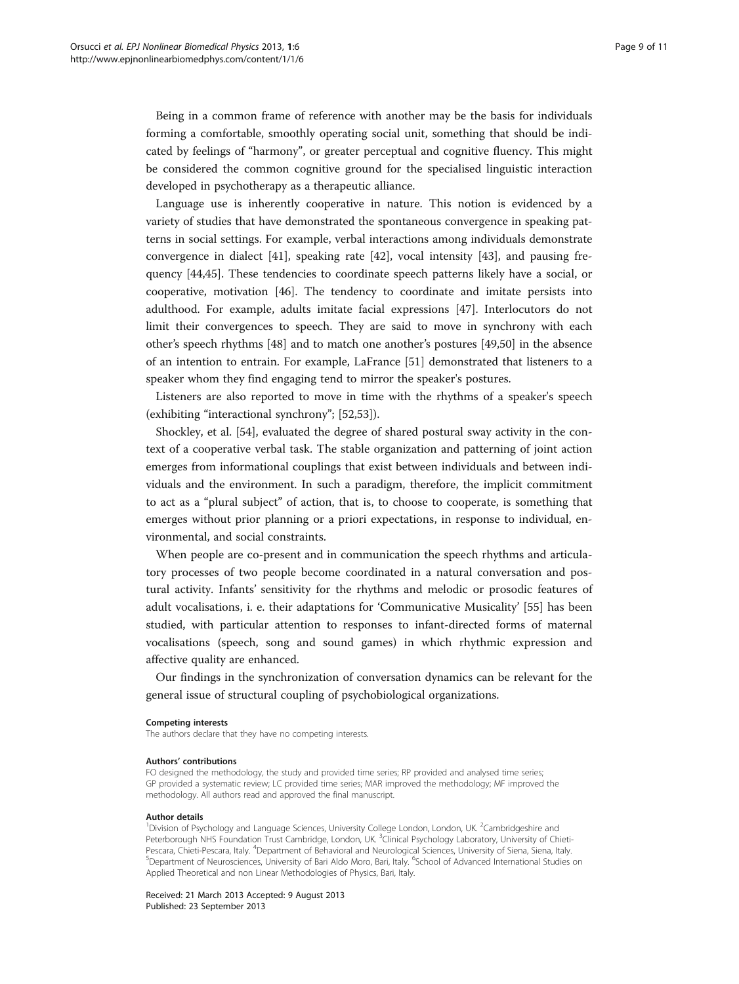Being in a common frame of reference with another may be the basis for individuals forming a comfortable, smoothly operating social unit, something that should be indicated by feelings of "harmony", or greater perceptual and cognitive fluency. This might be considered the common cognitive ground for the specialised linguistic interaction developed in psychotherapy as a therapeutic alliance.

Language use is inherently cooperative in nature. This notion is evidenced by a variety of studies that have demonstrated the spontaneous convergence in speaking patterns in social settings. For example, verbal interactions among individuals demonstrate convergence in dialect [\[41](#page-9-0)], speaking rate [\[42](#page-9-0)], vocal intensity [[43](#page-9-0)], and pausing frequency [\[44](#page-9-0)[,45](#page-10-0)]. These tendencies to coordinate speech patterns likely have a social, or cooperative, motivation [[46\]](#page-10-0). The tendency to coordinate and imitate persists into adulthood. For example, adults imitate facial expressions [\[47](#page-10-0)]. Interlocutors do not limit their convergences to speech. They are said to move in synchrony with each other's speech rhythms [\[48](#page-10-0)] and to match one another's postures [[49,50\]](#page-10-0) in the absence of an intention to entrain. For example, LaFrance [\[51](#page-10-0)] demonstrated that listeners to a speaker whom they find engaging tend to mirror the speaker's postures.

Listeners are also reported to move in time with the rhythms of a speaker's speech (exhibiting "interactional synchrony"; [[52,53\]](#page-10-0)).

Shockley, et al. [\[54](#page-10-0)], evaluated the degree of shared postural sway activity in the context of a cooperative verbal task. The stable organization and patterning of joint action emerges from informational couplings that exist between individuals and between individuals and the environment. In such a paradigm, therefore, the implicit commitment to act as a "plural subject" of action, that is, to choose to cooperate, is something that emerges without prior planning or a priori expectations, in response to individual, environmental, and social constraints.

When people are co-present and in communication the speech rhythms and articulatory processes of two people become coordinated in a natural conversation and postural activity. Infants' sensitivity for the rhythms and melodic or prosodic features of adult vocalisations, i. e. their adaptations for 'Communicative Musicality' [\[55\]](#page-10-0) has been studied, with particular attention to responses to infant-directed forms of maternal vocalisations (speech, song and sound games) in which rhythmic expression and affective quality are enhanced.

Our findings in the synchronization of conversation dynamics can be relevant for the general issue of structural coupling of psychobiological organizations.

#### Competing interests

The authors declare that they have no competing interests.

#### Authors' contributions

FO designed the methodology, the study and provided time series; RP provided and analysed time series; GP provided a systematic review; LC provided time series; MAR improved the methodology; MF improved the methodology. All authors read and approved the final manuscript.

#### Author details

<sup>1</sup>Division of Psychology and Language Sciences, University College London, London, UK. <sup>2</sup>Cambridgeshire and Peterborough NHS Foundation Trust Cambridge, London, UK.<sup>3</sup>Clinical Psychology Laboratory, University of Chieti-Pescara, Chieti-Pescara, Italy. <sup>4</sup>Department of Behavioral and Neurological Sciences, University of Siena, Siena, Italy.<br><sup>5</sup>Department of Neuroccionces, University of Bari Aldo More, Bari, Italy. <sup>6</sup>School of Advanced Int Department of Neurosciences, University of Bari Aldo Moro, Bari, Italy. <sup>6</sup>School of Advanced International Studies on Applied Theoretical and non Linear Methodologies of Physics, Bari, Italy.

Received: 21 March 2013 Accepted: 9 August 2013 Published: 23 September 2013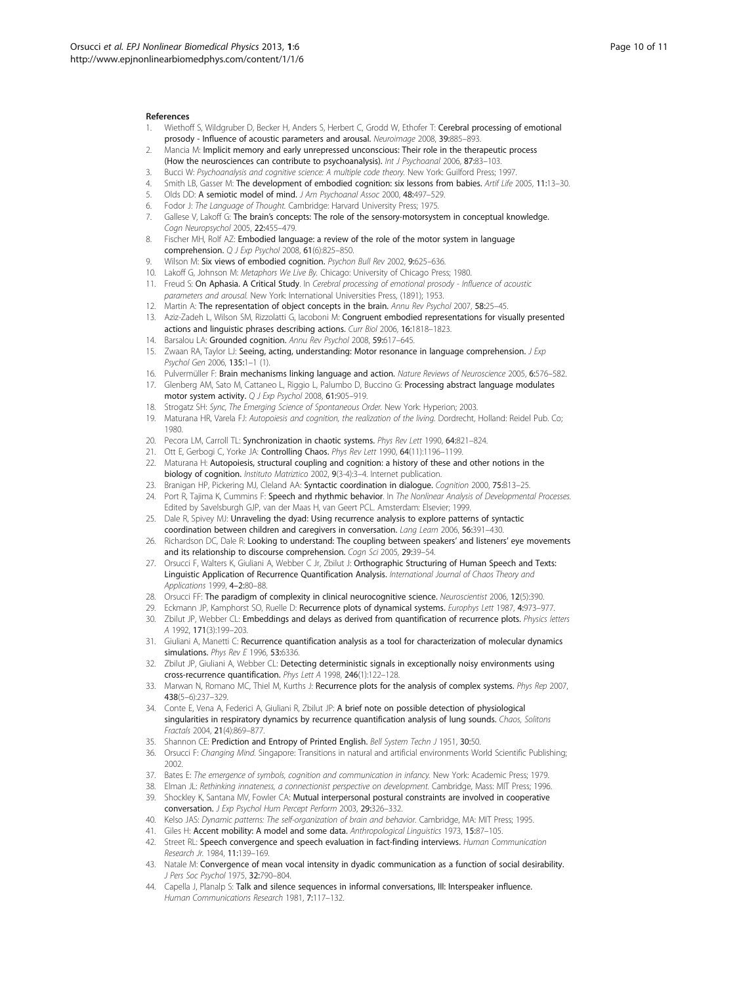#### <span id="page-9-0"></span>References

- 1. Wiethoff S, Wildgruber D, Becker H, Anders S, Herbert C, Grodd W, Ethofer T: Cerebral processing of emotional prosody - Influence of acoustic parameters and arousal. Neuroimage 2008, 39:885–893.
- 2. Mancia M: Implicit memory and early unrepressed unconscious: Their role in the therapeutic process (How the neurosciences can contribute to psychoanalysis). Int J Psychoanal 2006, 87:83–103.
- 3. Bucci W: Psychoanalysis and cognitive science: A multiple code theory. New York: Guilford Press; 1997.
- Smith LB, Gasser M: The development of embodied cognition: six lessons from babies. Artif Life 2005, 11:13-30.
- 5. Olds DD: A semiotic model of mind. J Am Psychoanal Assoc 2000, 48:497–529.
- 6. Fodor J: The Language of Thought. Cambridge: Harvard University Press; 1975.
- 7. Gallese V, Lakoff G: The brain's concepts: The role of the sensory-motorsystem in conceptual knowledge. Cogn Neuropsychol 2005, 22:455–479.
- 8. Fischer MH, Rolf AZ: Embodied language: a review of the role of the motor system in language comprehension. Q J Exp Psychol 2008, 61(6):825–850.
- 9. Wilson M: Six views of embodied cognition. Psychon Bull Rev 2002, 9:625-636.
- 10. Lakoff G, Johnson M: Metaphors We Live By. Chicago: University of Chicago Press; 1980.
- 11. Freud S: On Aphasia. A Critical Study. In Cerebral processing of emotional prosody Influence of acoustic parameters and arousal. New York: International Universities Press, (1891); 1953.
- 12. Martin A: The representation of object concepts in the brain. Annu Rev Psychol 2007, 58:25-45.
- 13. Aziz-Zadeh L, Wilson SM, Rizzolatti G, Iacoboni M: Congruent embodied representations for visually presented actions and linguistic phrases describing actions. Curr Biol 2006, 16:1818–1823.
- 14. Barsalou LA: Grounded cognition. Annu Rev Psychol 2008, 59:617-645
- 15. Zwaan RA, Taylor LJ: Seeing, acting, understanding: Motor resonance in language comprehension. J Exp Psychol Gen 2006, 135:1–1 (1).
- 16. Pulvermüller F: Brain mechanisms linking language and action. Nature Reviews of Neuroscience 2005, 6:576-582.
- 17. Glenberg AM, Sato M, Cattaneo L, Riggio L, Palumbo D, Buccino G: Processing abstract language modulates motor system activity. Q J Exp Psychol 2008, 61:905-919.
- 18. Strogatz SH: Sync, The Emerging Science of Spontaneous Order. New York: Hyperion; 2003.
- 19. Maturana HR, Varela FJ: Autopoiesis and cognition, the realization of the living. Dordrecht, Holland: Reidel Pub. Co; 1980.
- 20. Pecora LM, Carroll TL: Synchronization in chaotic systems. Phys Rev Lett 1990, 64:821-824.
- 21. Ott E, Gerbogi C, Yorke JA: Controlling Chaos. Phys Rev Lett 1990, 64(11):1196-1199.
- 22. Maturana H: Autopoiesis, structural coupling and cognition: a history of these and other notions in the biology of cognition. Instituto Matriztico 2002, 9(3-4):3-4. Internet publication.
- 23. Branigan HP, Pickering MJ, Cleland AA: Syntactic coordination in dialogue. Cognition 2000, 75:B13-25.
- 24. Port R, Tajima K, Cummins F: Speech and rhythmic behavior. In The Nonlinear Analysis of Developmental Processes. Edited by Savelsburgh GJP, van der Maas H, van Geert PCL. Amsterdam: Elsevier; 1999.
- 25. Dale R, Spivey MJ: Unraveling the dyad: Using recurrence analysis to explore patterns of syntactic coordination between children and caregivers in conversation. Lang Learn 2006, 56:391–430.
- 26. Richardson DC, Dale R: Looking to understand: The coupling between speakers' and listeners' eye movements and its relationship to discourse comprehension. Cogn Sci 2005, 29:39-54.
- 27. Orsucci F, Walters K, Giuliani A, Webber C Jr, Zbilut J: Orthographic Structuring of Human Speech and Texts: Linguistic Application of Recurrence Quantification Analysis. International Journal of Chaos Theory and Applications 1999, 4-2:80-88.
- 28. Orsucci FF: The paradigm of complexity in clinical neurocognitive science. Neuroscientist 2006, 12(5):390.
- 29. Eckmann JP, Kamphorst SO, Ruelle D: Recurrence plots of dynamical systems. Europhys Lett 1987, 4:973–977.
- 30. Zbilut JP, Webber CL: Embeddings and delays as derived from quantification of recurrence plots. Physics letters A 1992, 171(3):199–203.
- 31. Giuliani A, Manetti C: Recurrence quantification analysis as a tool for characterization of molecular dynamics simulations. Phys Rev E 1996, 53:6336.
- 32. Zbilut JP, Giuliani A, Webber CL: Detecting deterministic signals in exceptionally noisy environments using cross-recurrence quantification. Phys Lett A 1998, 246(1):122–128.
- 33. Marwan N, Romano MC, Thiel M, Kurths J: Recurrence plots for the analysis of complex systems. Phys Rep 2007, 438(5–6):237–329.
- 34. Conte E, Vena A, Federici A, Giuliani R, Zbilut JP: A brief note on possible detection of physiological singularities in respiratory dynamics by recurrence quantification analysis of lung sounds. Chaos, Solitons Fractals 2004, 21(4):869–877.
- 35. Shannon CE: Prediction and Entropy of Printed English. Bell System Techn J 1951, 30:50.
- 36. Orsucci F: Changing Mind. Singapore: Transitions in natural and artificial environments World Scientific Publishing; 2002.
- 37. Bates E: The emergence of symbols, cognition and communication in infancy. New York: Academic Press; 1979.
- Elman JL: Rethinking innateness, a connectionist perspective on development. Cambridge, Mass: MIT Press; 1996. 39. Shockley K, Santana MV, Fowler CA: Mutual interpersonal postural constraints are involved in cooperative conversation. J Exp Psychol Hum Percept Perform 2003, 29:326–332.
- 40. Kelso JAS: Dynamic patterns: The self-organization of brain and behavior. Cambridge, MA: MIT Press; 1995.
- 41. Giles H: Accent mobility: A model and some data. Anthropological Linguistics 1973, 15:87-105.
- 42. Street RL: Speech convergence and speech evaluation in fact-finding interviews. Human Communication Research Jr. 1984, 11:139–169.
- 43. Natale M: Convergence of mean vocal intensity in dyadic communication as a function of social desirability. J Pers Soc Psychol 1975, 32:790–804.
- 44. Capella J, Planalp S: Talk and silence sequences in informal conversations, III: Interspeaker influence. Human Communications Research 1981, 7:117–132.